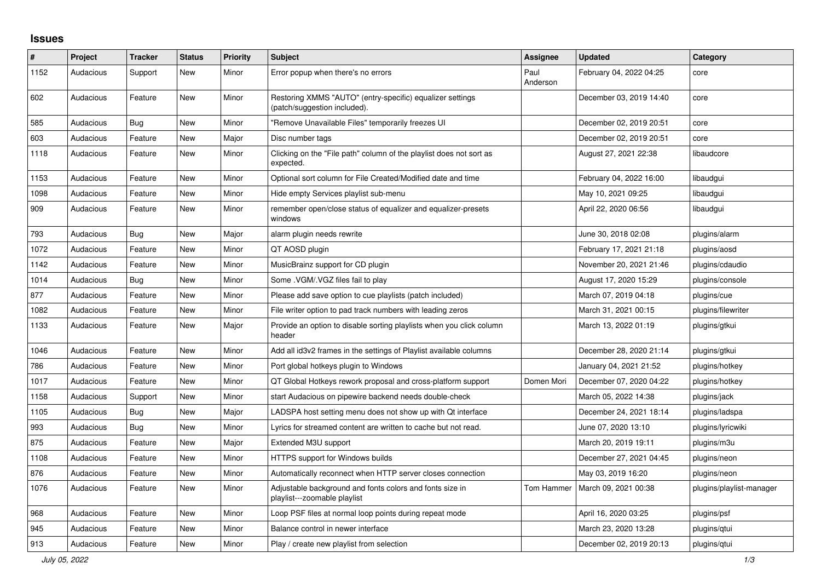## **Issues**

| #    | <b>Project</b> | <b>Tracker</b> | <b>Status</b> | <b>Priority</b> | <b>Subject</b>                                                                            | Assignee         | <b>Updated</b>          | Category                 |
|------|----------------|----------------|---------------|-----------------|-------------------------------------------------------------------------------------------|------------------|-------------------------|--------------------------|
| 1152 | Audacious      | Support        | <b>New</b>    | Minor           | Error popup when there's no errors                                                        | Paul<br>Anderson | February 04, 2022 04:25 | core                     |
| 602  | Audacious      | Feature        | <b>New</b>    | Minor           | Restoring XMMS "AUTO" (entry-specific) equalizer settings<br>(patch/suggestion included). |                  | December 03, 2019 14:40 | core                     |
| 585  | Audacious      | <b>Bug</b>     | <b>New</b>    | Minor           | "Remove Unavailable Files" temporarily freezes UI                                         |                  | December 02, 2019 20:51 | core                     |
| 603  | Audacious      | Feature        | <b>New</b>    | Major           | Disc number tags                                                                          |                  | December 02, 2019 20:51 | core                     |
| 1118 | Audacious      | Feature        | <b>New</b>    | Minor           | Clicking on the "File path" column of the playlist does not sort as<br>expected.          |                  | August 27, 2021 22:38   | libaudcore               |
| 1153 | Audacious      | Feature        | <b>New</b>    | Minor           | Optional sort column for File Created/Modified date and time                              |                  | February 04, 2022 16:00 | libaudgui                |
| 1098 | Audacious      | Feature        | <b>New</b>    | Minor           | Hide empty Services playlist sub-menu                                                     |                  | May 10, 2021 09:25      | libaudgui                |
| 909  | Audacious      | Feature        | <b>New</b>    | Minor           | remember open/close status of equalizer and equalizer-presets<br>windows                  |                  | April 22, 2020 06:56    | libaudgui                |
| 793  | Audacious      | Bug            | <b>New</b>    | Major           | alarm plugin needs rewrite                                                                |                  | June 30, 2018 02:08     | plugins/alarm            |
| 1072 | Audacious      | Feature        | <b>New</b>    | Minor           | QT AOSD plugin                                                                            |                  | February 17, 2021 21:18 | plugins/aosd             |
| 1142 | Audacious      | Feature        | <b>New</b>    | Minor           | MusicBrainz support for CD plugin                                                         |                  | November 20, 2021 21:46 | plugins/cdaudio          |
| 1014 | Audacious      | Bug            | <b>New</b>    | Minor           | Some .VGM/.VGZ files fail to play                                                         |                  | August 17, 2020 15:29   | plugins/console          |
| 877  | Audacious      | Feature        | New           | Minor           | Please add save option to cue playlists (patch included)                                  |                  | March 07, 2019 04:18    | plugins/cue              |
| 1082 | Audacious      | Feature        | <b>New</b>    | Minor           | File writer option to pad track numbers with leading zeros                                |                  | March 31, 2021 00:15    | plugins/filewriter       |
| 1133 | Audacious      | Feature        | New           | Major           | Provide an option to disable sorting playlists when you click column<br>header            |                  | March 13, 2022 01:19    | plugins/gtkui            |
| 1046 | Audacious      | Feature        | <b>New</b>    | Minor           | Add all id3v2 frames in the settings of Playlist available columns                        |                  | December 28, 2020 21:14 | plugins/gtkui            |
| 786  | Audacious      | Feature        | New           | Minor           | Port global hotkeys plugin to Windows                                                     |                  | January 04, 2021 21:52  | plugins/hotkey           |
| 1017 | Audacious      | Feature        | <b>New</b>    | Minor           | QT Global Hotkeys rework proposal and cross-platform support                              | Domen Mori       | December 07, 2020 04:22 | plugins/hotkey           |
| 1158 | Audacious      | Support        | <b>New</b>    | Minor           | start Audacious on pipewire backend needs double-check                                    |                  | March 05, 2022 14:38    | plugins/jack             |
| 1105 | Audacious      | Bug            | <b>New</b>    | Major           | LADSPA host setting menu does not show up with Qt interface                               |                  | December 24, 2021 18:14 | plugins/ladspa           |
| 993  | Audacious      | Bug            | <b>New</b>    | Minor           | Lyrics for streamed content are written to cache but not read.                            |                  | June 07, 2020 13:10     | plugins/lyricwiki        |
| 875  | Audacious      | Feature        | <b>New</b>    | Major           | Extended M3U support                                                                      |                  | March 20, 2019 19:11    | plugins/m3u              |
| 1108 | Audacious      | Feature        | <b>New</b>    | Minor           | HTTPS support for Windows builds                                                          |                  | December 27, 2021 04:45 | plugins/neon             |
| 876  | Audacious      | Feature        | <b>New</b>    | Minor           | Automatically reconnect when HTTP server closes connection                                |                  | May 03, 2019 16:20      | plugins/neon             |
| 1076 | Audacious      | Feature        | <b>New</b>    | Minor           | Adjustable background and fonts colors and fonts size in<br>playlist---zoomable playlist  | Tom Hammer       | March 09, 2021 00:38    | plugins/playlist-manager |
| 968  | Audacious      | Feature        | New           | Minor           | Loop PSF files at normal loop points during repeat mode                                   |                  | April 16, 2020 03:25    | plugins/psf              |
| 945  | Audacious      | Feature        | <b>New</b>    | Minor           | Balance control in newer interface                                                        |                  | March 23, 2020 13:28    | plugins/gtui             |
| 913  | Audacious      | Feature        | New           | Minor           | Play / create new playlist from selection                                                 |                  | December 02, 2019 20:13 | plugins/qtui             |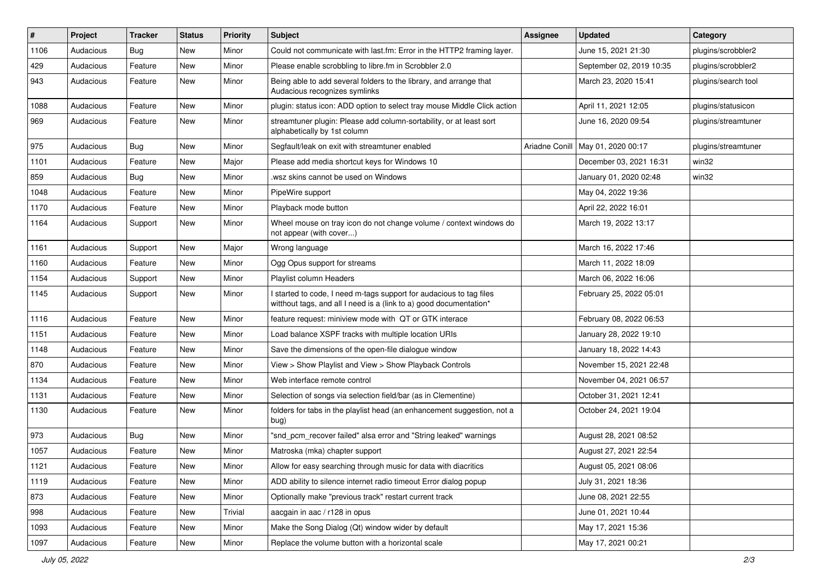| $\#$ | Project   | <b>Tracker</b> | <b>Status</b> | <b>Priority</b> | <b>Subject</b>                                                                                                                            | Assignee       | <b>Updated</b>           | Category            |
|------|-----------|----------------|---------------|-----------------|-------------------------------------------------------------------------------------------------------------------------------------------|----------------|--------------------------|---------------------|
| 1106 | Audacious | <b>Bug</b>     | New           | Minor           | Could not communicate with last.fm: Error in the HTTP2 framing layer.                                                                     |                | June 15, 2021 21:30      | plugins/scrobbler2  |
| 429  | Audacious | Feature        | <b>New</b>    | Minor           | Please enable scrobbling to libre.fm in Scrobbler 2.0                                                                                     |                | September 02, 2019 10:35 | plugins/scrobbler2  |
| 943  | Audacious | Feature        | New           | Minor           | Being able to add several folders to the library, and arrange that<br>Audacious recognizes symlinks                                       |                | March 23, 2020 15:41     | plugins/search tool |
| 1088 | Audacious | Feature        | New           | Minor           | plugin: status icon: ADD option to select tray mouse Middle Click action                                                                  |                | April 11, 2021 12:05     | plugins/statusicon  |
| 969  | Audacious | Feature        | New           | Minor           | streamtuner plugin: Please add column-sortability, or at least sort<br>alphabetically by 1st column                                       |                | June 16, 2020 09:54      | plugins/streamtuner |
| 975  | Audacious | Bug            | New           | Minor           | Segfault/leak on exit with streamtuner enabled                                                                                            | Ariadne Conill | May 01, 2020 00:17       | plugins/streamtuner |
| 1101 | Audacious | Feature        | <b>New</b>    | Major           | Please add media shortcut keys for Windows 10                                                                                             |                | December 03, 2021 16:31  | win32               |
| 859  | Audacious | <b>Bug</b>     | <b>New</b>    | Minor           | .wsz skins cannot be used on Windows                                                                                                      |                | January 01, 2020 02:48   | win32               |
| 1048 | Audacious | Feature        | New           | Minor           | PipeWire support                                                                                                                          |                | May 04, 2022 19:36       |                     |
| 1170 | Audacious | Feature        | New           | Minor           | Playback mode button                                                                                                                      |                | April 22, 2022 16:01     |                     |
| 1164 | Audacious | Support        | New           | Minor           | Wheel mouse on tray icon do not change volume / context windows do<br>not appear (with cover)                                             |                | March 19, 2022 13:17     |                     |
| 1161 | Audacious | Support        | New           | Major           | Wrong language                                                                                                                            |                | March 16, 2022 17:46     |                     |
| 1160 | Audacious | Feature        | New           | Minor           | Ogg Opus support for streams                                                                                                              |                | March 11, 2022 18:09     |                     |
| 1154 | Audacious | Support        | New           | Minor           | Playlist column Headers                                                                                                                   |                | March 06, 2022 16:06     |                     |
| 1145 | Audacious | Support        | New           | Minor           | I started to code, I need m-tags support for audacious to tag files<br>witthout tags, and all I need is a (link to a) good documentation* |                | February 25, 2022 05:01  |                     |
| 1116 | Audacious | Feature        | <b>New</b>    | Minor           | feature request: miniview mode with QT or GTK interace                                                                                    |                | February 08, 2022 06:53  |                     |
| 1151 | Audacious | Feature        | New           | Minor           | Load balance XSPF tracks with multiple location URIs                                                                                      |                | January 28, 2022 19:10   |                     |
| 1148 | Audacious | Feature        | New           | Minor           | Save the dimensions of the open-file dialogue window                                                                                      |                | January 18, 2022 14:43   |                     |
| 870  | Audacious | Feature        | <b>New</b>    | Minor           | View > Show Playlist and View > Show Playback Controls                                                                                    |                | November 15, 2021 22:48  |                     |
| 1134 | Audacious | Feature        | New           | Minor           | Web interface remote control                                                                                                              |                | November 04, 2021 06:57  |                     |
| 1131 | Audacious | Feature        | New           | Minor           | Selection of songs via selection field/bar (as in Clementine)                                                                             |                | October 31, 2021 12:41   |                     |
| 1130 | Audacious | Feature        | New           | Minor           | folders for tabs in the playlist head (an enhancement suggestion, not a<br>bug)                                                           |                | October 24, 2021 19:04   |                     |
| 973  | Audacious | Bug            | <b>New</b>    | Minor           | "snd pcm recover failed" alsa error and "String leaked" warnings                                                                          |                | August 28, 2021 08:52    |                     |
| 1057 | Audacious | Feature        | New           | Minor           | Matroska (mka) chapter support                                                                                                            |                | August 27, 2021 22:54    |                     |
| 1121 | Audacious | Feature        | New           | Minor           | Allow for easy searching through music for data with diacritics                                                                           |                | August 05, 2021 08:06    |                     |
| 1119 | Audacious | Feature        | New           | Minor           | ADD ability to silence internet radio timeout Error dialog popup                                                                          |                | July 31, 2021 18:36      |                     |
| 873  | Audacious | Feature        | New           | Minor           | Optionally make "previous track" restart current track                                                                                    |                | June 08, 2021 22:55      |                     |
| 998  | Audacious | Feature        | New           | Trivial         | aacgain in aac / r128 in opus                                                                                                             |                | June 01, 2021 10:44      |                     |
| 1093 | Audacious | Feature        | New           | Minor           | Make the Song Dialog (Qt) window wider by default                                                                                         |                | May 17, 2021 15:36       |                     |
| 1097 | Audacious | Feature        | New           | Minor           | Replace the volume button with a horizontal scale                                                                                         |                | May 17, 2021 00:21       |                     |